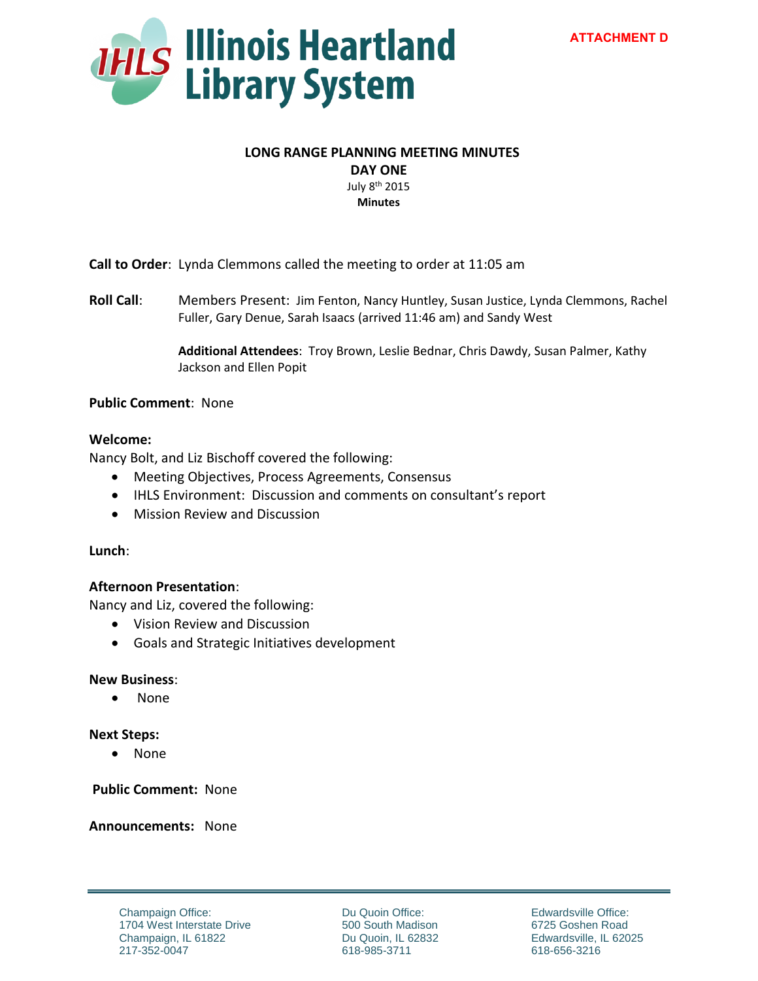

## **LONG RANGE PLANNING MEETING MINUTES**

**DAY ONE** 

July 8th 2015 **Minutes** 

**Call to Order**: Lynda Clemmons called the meeting to order at 11:05 am

**Roll Call**: Members Present: Jim Fenton, Nancy Huntley, Susan Justice, Lynda Clemmons, Rachel Fuller, Gary Denue, Sarah Isaacs (arrived 11:46 am) and Sandy West

> **Additional Attendees**: Troy Brown, Leslie Bednar, Chris Dawdy, Susan Palmer, Kathy Jackson and Ellen Popit

# **Public Comment**: None

# **Welcome:**

Nancy Bolt, and Liz Bischoff covered the following:

- Meeting Objectives, Process Agreements, Consensus
- IHLS Environment: Discussion and comments on consultant's report
- Mission Review and Discussion

# **Lunch**:

# **Afternoon Presentation**:

Nancy and Liz, covered the following:

- Vision Review and Discussion
- Goals and Strategic Initiatives development

#### **New Business**:

• None

# **Next Steps:**

None

 **Public Comment:** None

**Announcements:** None

Champaign Office: 1704 West Interstate Drive Champaign, IL 61822 217-352-0047

Du Quoin Office: 500 South Madison Du Quoin, IL 62832 618-985-3711

Edwardsville Office: 6725 Goshen Road Edwardsville, IL 62025 618-656-3216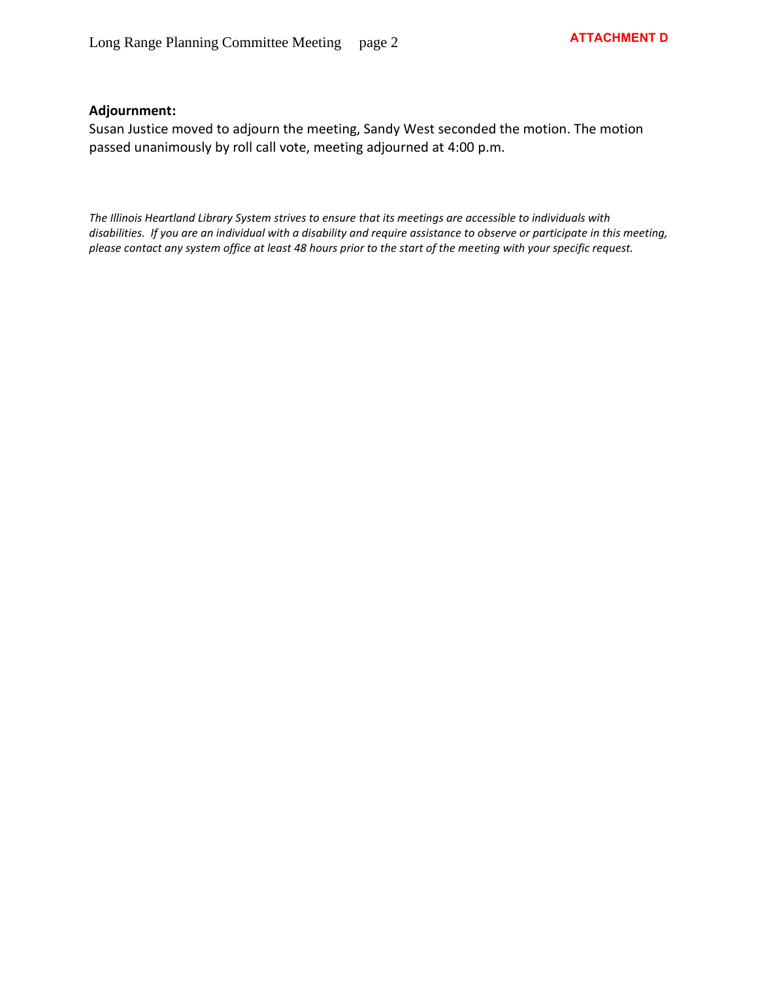# **Adjournment:**

Susan Justice moved to adjourn the meeting, Sandy West seconded the motion. The motion passed unanimously by roll call vote, meeting adjourned at 4:00 p.m.

*The Illinois Heartland Library System strives to ensure that its meetings are accessible to individuals with disabilities. If you are an individual with a disability and require assistance to observe or participate in this meeting, please contact any system office at least 48 hours prior to the start of the meeting with your specific request.*